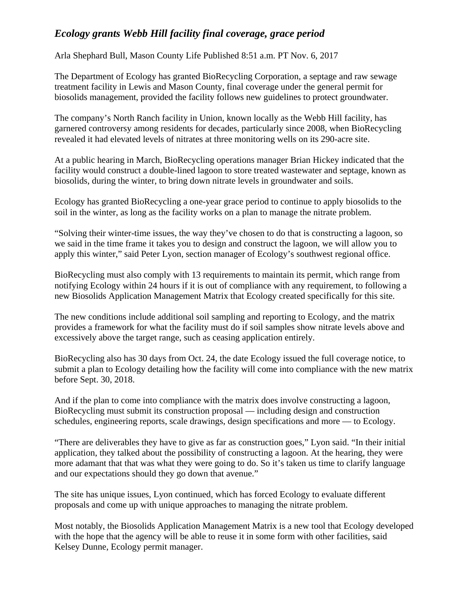## *Ecology grants Webb Hill facility final coverage, grace period*

Arla Shephard Bull, Mason County Life Published 8:51 a.m. PT Nov. 6, 2017

The Department of Ecology has granted BioRecycling Corporation, a septage and raw sewage treatment facility in Lewis and Mason County, final coverage under the general permit for biosolids management, provided the facility follows new guidelines to protect groundwater.

The company's North Ranch facility in Union, known locally as the Webb Hill facility, has garnered controversy among residents for decades, particularly since 2008, when BioRecycling revealed it had elevated levels of nitrates at three monitoring wells on its 290-acre site.

At a public hearing in March, BioRecycling operations manager Brian Hickey indicated that the facility would construct a double-lined lagoon to store treated wastewater and septage, known as biosolids, during the winter, to bring down nitrate levels in groundwater and soils.

Ecology has granted BioRecycling a one-year grace period to continue to apply biosolids to the soil in the winter, as long as the facility works on a plan to manage the nitrate problem.

"Solving their winter-time issues, the way they've chosen to do that is constructing a lagoon, so we said in the time frame it takes you to design and construct the lagoon, we will allow you to apply this winter," said Peter Lyon, section manager of Ecology's southwest regional office.

BioRecycling must also comply with 13 requirements to maintain its permit, which range from notifying Ecology within 24 hours if it is out of compliance with any requirement, to following a new Biosolids Application Management Matrix that Ecology created specifically for this site.

The new conditions include additional soil sampling and reporting to Ecology, and the matrix provides a framework for what the facility must do if soil samples show nitrate levels above and excessively above the target range, such as ceasing application entirely.

BioRecycling also has 30 days from Oct. 24, the date Ecology issued the full coverage notice, to submit a plan to Ecology detailing how the facility will come into compliance with the new matrix before Sept. 30, 2018.

And if the plan to come into compliance with the matrix does involve constructing a lagoon, BioRecycling must submit its construction proposal — including design and construction schedules, engineering reports, scale drawings, design specifications and more — to Ecology.

"There are deliverables they have to give as far as construction goes," Lyon said. "In their initial application, they talked about the possibility of constructing a lagoon. At the hearing, they were more adamant that that was what they were going to do. So it's taken us time to clarify language and our expectations should they go down that avenue."

The site has unique issues, Lyon continued, which has forced Ecology to evaluate different proposals and come up with unique approaches to managing the nitrate problem.

Most notably, the Biosolids Application Management Matrix is a new tool that Ecology developed with the hope that the agency will be able to reuse it in some form with other facilities, said Kelsey Dunne, Ecology permit manager.